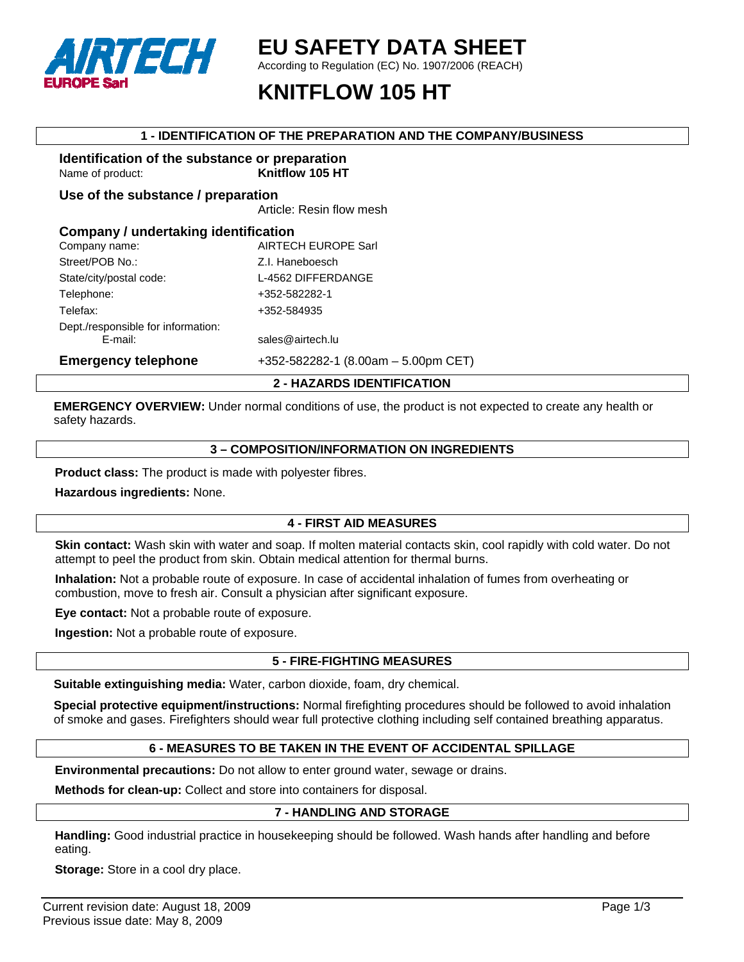

# **EU SAFETY DATA SHEET**

According to Regulation (EC) No. 1907/2006 (REACH)

# **KNITFLOW 105 HT**

#### **1 - IDENTIFICATION OF THE PREPARATION AND THE COMPANY/BUSINESS**

### **Identification of the substance or preparation**  Name of product: **Knitflow 105 HT**

**Use of the substance / preparation** 

Article: Resin flow mesh

| Company / undertaking identification      |  |  |  |
|-------------------------------------------|--|--|--|
|                                           |  |  |  |
|                                           |  |  |  |
|                                           |  |  |  |
|                                           |  |  |  |
|                                           |  |  |  |
|                                           |  |  |  |
|                                           |  |  |  |
| $+352 - 582282 - 1$ (8.00am - 5.00pm CET) |  |  |  |
|                                           |  |  |  |

## **2 - HAZARDS IDENTIFICATION**

**EMERGENCY OVERVIEW:** Under normal conditions of use, the product is not expected to create any health or safety hazards.

#### **3 – COMPOSITION/INFORMATION ON INGREDIENTS**

**Product class:** The product is made with polyester fibres.

**Hazardous ingredients:** None.

## **4 - FIRST AID MEASURES**

**Skin contact:** Wash skin with water and soap. If molten material contacts skin, cool rapidly with cold water. Do not attempt to peel the product from skin. Obtain medical attention for thermal burns.

**Inhalation:** Not a probable route of exposure. In case of accidental inhalation of fumes from overheating or combustion, move to fresh air. Consult a physician after significant exposure.

**Eye contact:** Not a probable route of exposure.

**Ingestion:** Not a probable route of exposure.

## **5 - FIRE-FIGHTING MEASURES**

**Suitable extinguishing media:** Water, carbon dioxide, foam, dry chemical.

**Special protective equipment/instructions:** Normal firefighting procedures should be followed to avoid inhalation of smoke and gases. Firefighters should wear full protective clothing including self contained breathing apparatus.

## **6 - MEASURES TO BE TAKEN IN THE EVENT OF ACCIDENTAL SPILLAGE**

**Environmental precautions:** Do not allow to enter ground water, sewage or drains.

**Methods for clean-up:** Collect and store into containers for disposal.

## **7 - HANDLING AND STORAGE**

**Handling:** Good industrial practice in housekeeping should be followed. Wash hands after handling and before eating.

**Storage:** Store in a cool dry place.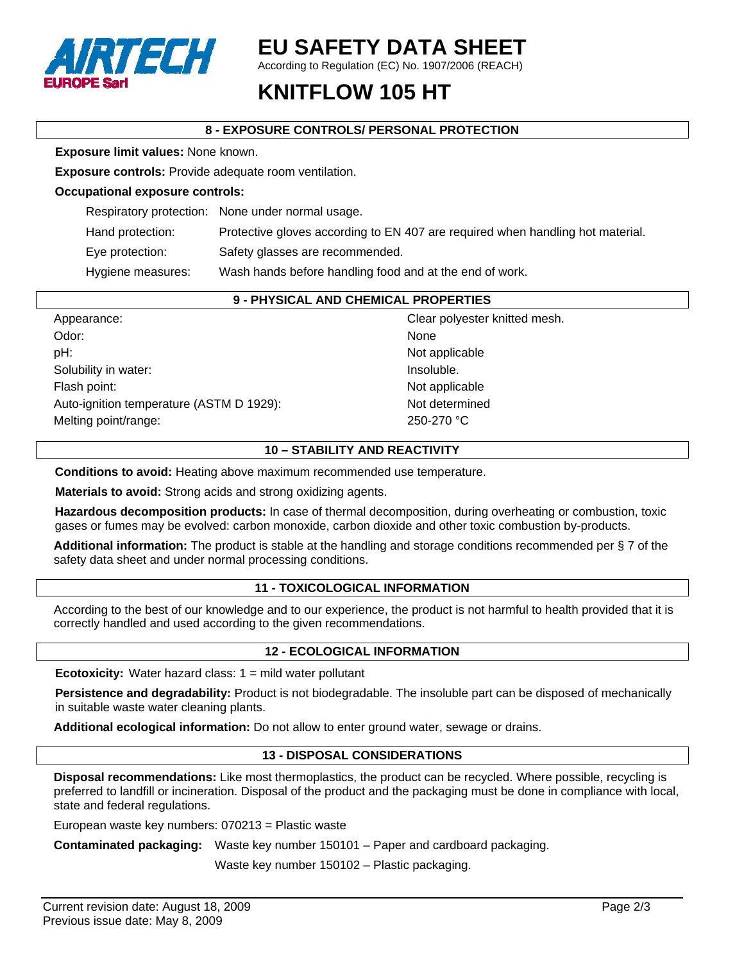

# **EU SAFETY DATA SHEET**

According to Regulation (EC) No. 1907/2006 (REACH)

# **KNITFLOW 105 HT**

# **8 - EXPOSURE CONTROLS/ PERSONAL PROTECTION**

**Exposure limit values:** None known.

**Exposure controls:** Provide adequate room ventilation.

#### **Occupational exposure controls:**

|                  | Respiratory protection: None under normal usage.                               |
|------------------|--------------------------------------------------------------------------------|
| Hand protection: | Protective gloves according to EN 407 are required when handling hot material. |

Eye protection: Safety glasses are recommended.

Hygiene measures: Wash hands before handling food and at the end of work.

#### **9 - PHYSICAL AND CHEMICAL PROPERTIES**

| Appearance:                              | Clear polyester knitted mesh. |
|------------------------------------------|-------------------------------|
| Odor:                                    | None                          |
| pH:                                      | Not applicable                |
| Solubility in water:                     | Insoluble.                    |
| Flash point:                             | Not applicable                |
| Auto-ignition temperature (ASTM D 1929): | Not determined                |
| Melting point/range:                     | 250-270 °C                    |

# **10 – STABILITY AND REACTIVITY**

**Conditions to avoid:** Heating above maximum recommended use temperature.

**Materials to avoid:** Strong acids and strong oxidizing agents.

**Hazardous decomposition products:** In case of thermal decomposition, during overheating or combustion, toxic gases or fumes may be evolved: carbon monoxide, carbon dioxide and other toxic combustion by-products.

**Additional information:** The product is stable at the handling and storage conditions recommended per § 7 of the safety data sheet and under normal processing conditions.

## **11 - TOXICOLOGICAL INFORMATION**

According to the best of our knowledge and to our experience, the product is not harmful to health provided that it is correctly handled and used according to the given recommendations.

## **12 - ECOLOGICAL INFORMATION**

**Ecotoxicity:** Water hazard class: 1 = mild water pollutant

**Persistence and degradability:** Product is not biodegradable. The insoluble part can be disposed of mechanically in suitable waste water cleaning plants.

**Additional ecological information:** Do not allow to enter ground water, sewage or drains.

## **13 - DISPOSAL CONSIDERATIONS**

**Disposal recommendations:** Like most thermoplastics, the product can be recycled. Where possible, recycling is preferred to landfill or incineration. Disposal of the product and the packaging must be done in compliance with local, state and federal regulations.

European waste key numbers: 070213 = Plastic waste

**Contaminated packaging:** Waste key number 150101 – Paper and cardboard packaging.

Waste key number 150102 – Plastic packaging.